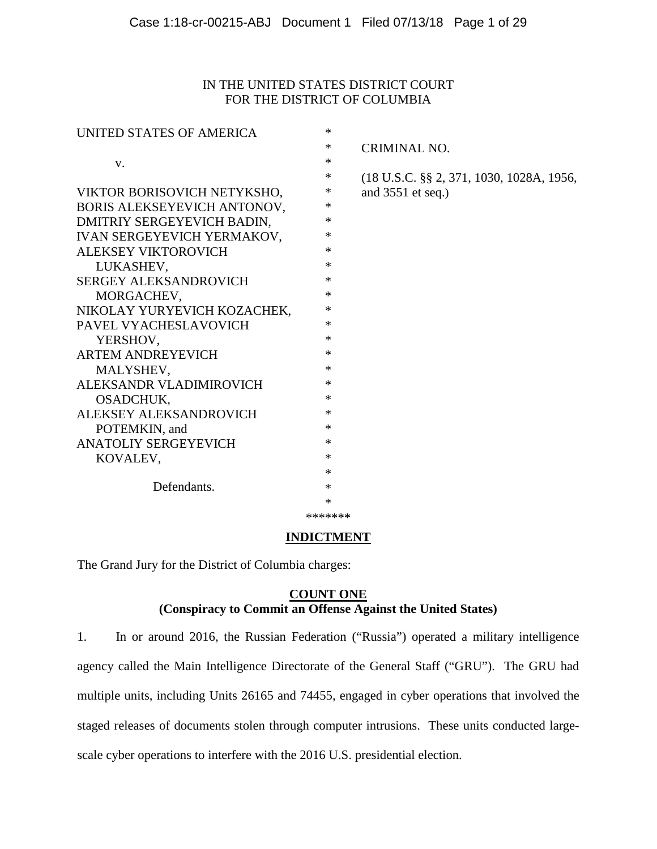# IN THE UNITED STATES DISTRICT COURT FOR THE DISTRICT OF COLUMBIA

| UNITED STATES OF AMERICA     | *      |                                                     |
|------------------------------|--------|-----------------------------------------------------|
|                              | *      | <b>CRIMINAL NO.</b>                                 |
| V.                           | *      |                                                     |
|                              | *      | $(18 \text{ U.S.C. }$ §§ 2, 371, 1030, 1028A, 1956, |
| VIKTOR BORISOVICH NETYKSHO,  | *      | and $3551$ et seq.)                                 |
| BORIS ALEKSEYEVICH ANTONOV,  | *      |                                                     |
| DMITRIY SERGEYEVICH BADIN,   | *      |                                                     |
| IVAN SERGEYEVICH YERMAKOV,   | ∗      |                                                     |
| <b>ALEKSEY VIKTOROVICH</b>   | *      |                                                     |
| LUKASHEV,                    | *      |                                                     |
| <b>SERGEY ALEKSANDROVICH</b> | *      |                                                     |
| MORGACHEV,                   | *      |                                                     |
| NIKOLAY YURYEVICH KOZACHEK,  | *      |                                                     |
| PAVEL VYACHESLAVOVICH        | *      |                                                     |
| YERSHOV,                     | *      |                                                     |
| <b>ARTEM ANDREYEVICH</b>     | $\ast$ |                                                     |
| MALYSHEV,                    | $\ast$ |                                                     |
| ALEKSANDR VLADIMIROVICH      | *      |                                                     |
| OSADCHUK,                    | *      |                                                     |
| ALEKSEY ALEKSANDROVICH       | $\ast$ |                                                     |
| POTEMKIN, and                | $\ast$ |                                                     |
| <b>ANATOLIY SERGEYEVICH</b>  | $\ast$ |                                                     |
| KOVALEV,                     | $\ast$ |                                                     |
|                              | *      |                                                     |
| Defendants.                  | *      |                                                     |
|                              | *      |                                                     |
|                              |        |                                                     |

\*\*\*\*\*\*\*

#### **INDICTMENT**

The Grand Jury for the District of Columbia charges:

# **COUNT ONE (Conspiracy to Commit an Offense Against the United States)**

<span id="page-0-0"></span>1. In or around 2016, the Russian Federation ("Russia") operated a military intelligence agency called the Main Intelligence Directorate of the General Staff ("GRU"). The GRU had multiple units, including Units 26165 and 74455, engaged in cyber operations that involved the staged releases of documents stolen through computer intrusions. These units conducted largescale cyber operations to interfere with the 2016 U.S. presidential election.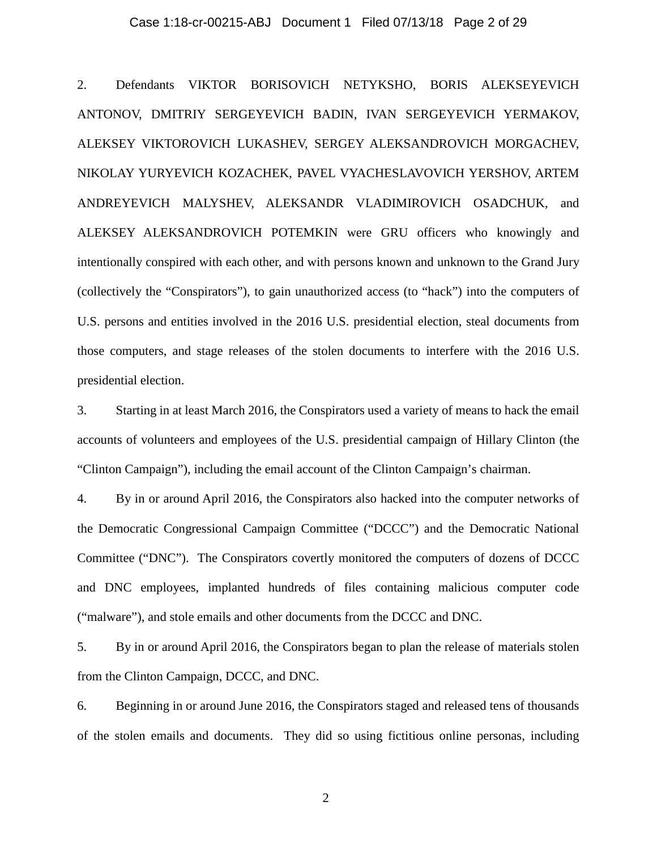#### Case 1:18-cr-00215-ABJ Document 1 Filed 07/13/18 Page 2 of 29

2. Defendants VIKTOR BORISOVICH NETYKSHO, BORIS ALEKSEYEVICH ANTONOV, DMITRIY SERGEYEVICH BADIN, IVAN SERGEYEVICH YERMAKOV, ALEKSEY VIKTOROVICH LUKASHEV, SERGEY ALEKSANDROVICH MORGACHEV, NIKOLAY YURYEVICH KOZACHEK, PAVEL VYACHESLAVOVICH YERSHOV, ARTEM ANDREYEVICH MALYSHEV, ALEKSANDR VLADIMIROVICH OSADCHUK, and ALEKSEY ALEKSANDROVICH POTEMKIN were GRU officers who knowingly and intentionally conspired with each other, and with persons known and unknown to the Grand Jury (collectively the "Conspirators"), to gain unauthorized access (to "hack") into the computers of U.S. persons and entities involved in the 2016 U.S. presidential election, steal documents from those computers, and stage releases of the stolen documents to interfere with the 2016 U.S. presidential election.

3. Starting in at least March 2016, the Conspirators used a variety of means to hack the email accounts of volunteers and employees of the U.S. presidential campaign of Hillary Clinton (the "Clinton Campaign"), including the email account of the Clinton Campaign's chairman.

4. By in or around April 2016, the Conspirators also hacked into the computer networks of the Democratic Congressional Campaign Committee ("DCCC") and the Democratic National Committee ("DNC"). The Conspirators covertly monitored the computers of dozens of DCCC and DNC employees, implanted hundreds of files containing malicious computer code ("malware"), and stole emails and other documents from the DCCC and DNC.

5. By in or around April 2016, the Conspirators began to plan the release of materials stolen from the Clinton Campaign, DCCC, and DNC.

6. Beginning in or around June 2016, the Conspirators staged and released tens of thousands of the stolen emails and documents. They did so using fictitious online personas, including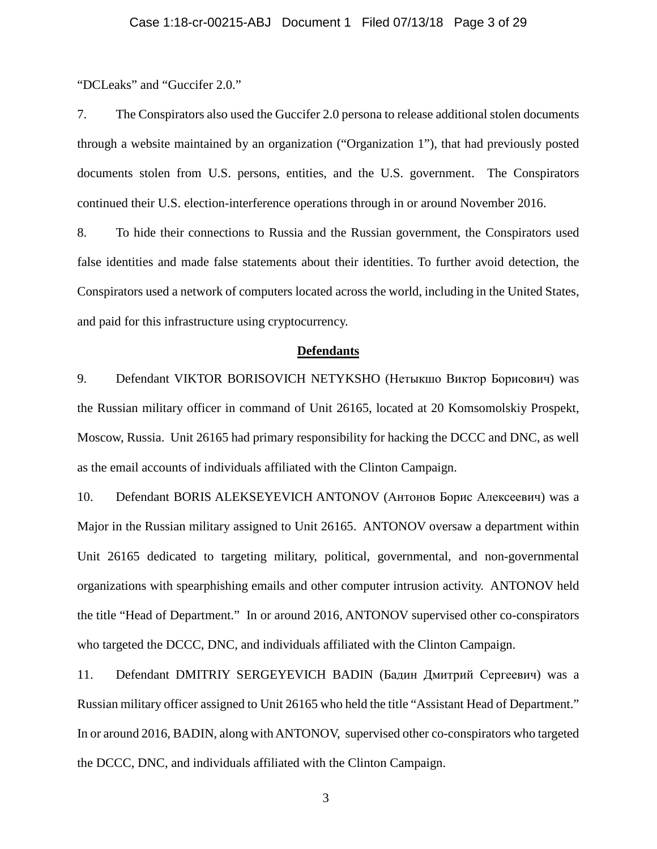"DCLeaks" and "Guccifer 2.0."

7. The Conspirators also used the Guccifer 2.0 persona to release additional stolen documents through a website maintained by an organization ("Organization 1"), that had previously posted documents stolen from U.S. persons, entities, and the U.S. government. The Conspirators continued their U.S. election-interference operations through in or around November 2016.

<span id="page-2-0"></span>8. To hide their connections to Russia and the Russian government, the Conspirators used false identities and made false statements about their identities. To further avoid detection, the Conspirators used a network of computers located across the world, including in the United States, and paid for this infrastructure using cryptocurrency.

#### **Defendants**

9. Defendant VIKTOR BORISOVICH NETYKSHO (Нетыкшо Виктор Борисович) was the Russian military officer in command of Unit 26165, located at 20 Komsomolskiy Prospekt, Moscow, Russia. Unit 26165 had primary responsibility for hacking the DCCC and DNC, as well as the email accounts of individuals affiliated with the Clinton Campaign.

10. Defendant BORIS ALEKSEYEVICH ANTONOV (Антонов Борис Алексеевич) was a Major in the Russian military assigned to Unit 26165. ANTONOV oversaw a department within Unit 26165 dedicated to targeting military, political, governmental, and non-governmental organizations with spearphishing emails and other computer intrusion activity. ANTONOV held the title "Head of Department." In or around 2016, ANTONOV supervised other co-conspirators who targeted the DCCC, DNC, and individuals affiliated with the Clinton Campaign.

11. Defendant DMITRIY SERGEYEVICH BADIN (Бадин Дмитрий Сергеевич) was a Russian military officer assigned to Unit 26165 who held the title "Assistant Head of Department." In or around 2016, BADIN, along withANTONOV, supervised other co-conspirators who targeted the DCCC, DNC, and individuals affiliated with the Clinton Campaign.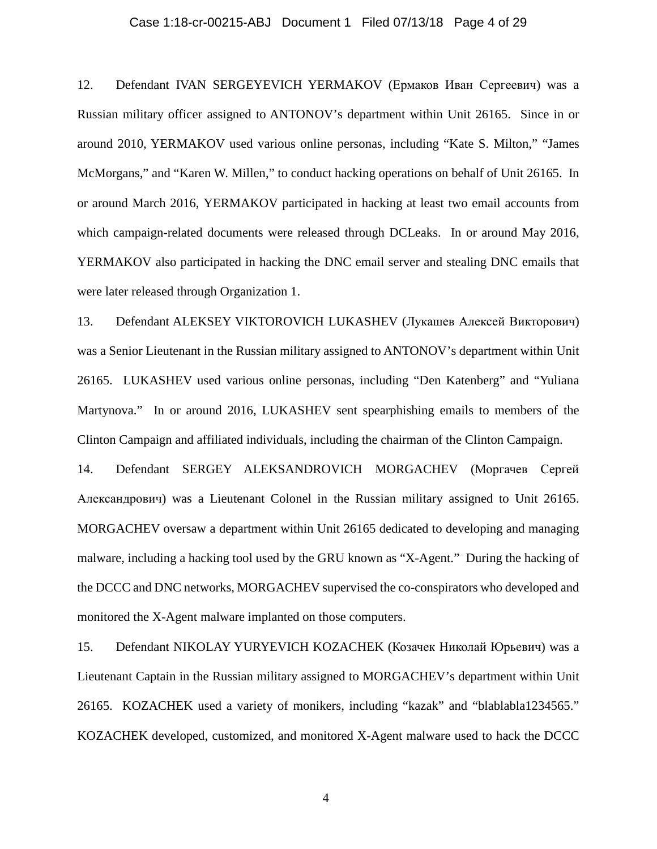#### Case 1:18-cr-00215-ABJ Document 1 Filed 07/13/18 Page 4 of 29

12. Defendant IVAN SERGEYEVICH YERMAKOV (Ермаков Иван Сергеевич) was a Russian military officer assigned to ANTONOV's department within Unit 26165. Since in or around 2010, YERMAKOV used various online personas, including "Kate S. Milton," "James McMorgans," and "Karen W. Millen," to conduct hacking operations on behalf of Unit 26165. In or around March 2016, YERMAKOV participated in hacking at least two email accounts from which campaign-related documents were released through DCLeaks. In or around May 2016, YERMAKOV also participated in hacking the DNC email server and stealing DNC emails that were later released through Organization 1.

13. Defendant ALEKSEY VIKTOROVICH LUKASHEV (Лукашев Алексей Викторович) was a Senior Lieutenant in the Russian military assigned to ANTONOV's department within Unit 26165. LUKASHEV used various online personas, including "Den Katenberg" and "Yuliana Martynova." In or around 2016, LUKASHEV sent spearphishing emails to members of the Clinton Campaign and affiliated individuals, including the chairman of the Clinton Campaign.

14. Defendant SERGEY ALEKSANDROVICH MORGACHEV (Моргачев Сергей Александрович) was a Lieutenant Colonel in the Russian military assigned to Unit 26165. MORGACHEV oversaw a department within Unit 26165 dedicated to developing and managing malware, including a hacking tool used by the GRU known as "X-Agent." During the hacking of the DCCC and DNC networks, MORGACHEV supervised the co-conspirators who developed and monitored the X-Agent malware implanted on those computers.

15. Defendant NIKOLAY YURYEVICH KOZACHEK (Козачек Николай Юрьевич) was a Lieutenant Captain in the Russian military assigned to MORGACHEV's department within Unit 26165. KOZACHEK used a variety of monikers, including "kazak" and "blablabla1234565." KOZACHEK developed, customized, and monitored X-Agent malware used to hack the DCCC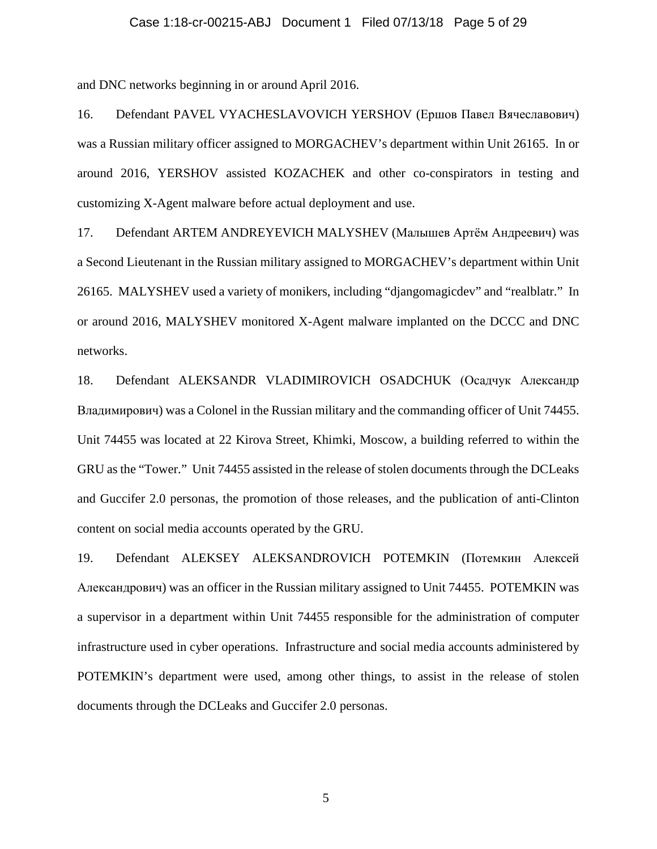# Case 1:18-cr-00215-ABJ Document 1 Filed 07/13/18 Page 5 of 29

and DNC networks beginning in or around April 2016.

16. Defendant PAVEL VYACHESLAVOVICH YERSHOV (Ершов Павел Вячеславович) was a Russian military officer assigned to MORGACHEV's department within Unit 26165. In or around 2016, YERSHOV assisted KOZACHEK and other co-conspirators in testing and customizing X-Agent malware before actual deployment and use.

17. Defendant ARTEM ANDREYEVICH MALYSHEV (Малышев Артём Андреевич) was a Second Lieutenant in the Russian military assigned to MORGACHEV's department within Unit 26165. MALYSHEV used a variety of monikers, including "djangomagicdev" and "realblatr." In or around 2016, MALYSHEV monitored X-Agent malware implanted on the DCCC and DNC networks.

<span id="page-4-1"></span>18. Defendant ALEKSANDR VLADIMIROVICH OSADCHUK (Осадчук Александр Владимирович) was a Colonel in the Russian military and the commanding officer of Unit 74455. Unit 74455 was located at 22 Kirova Street, Khimki, Moscow, a building referred to within the GRU as the "Tower." Unit 74455 assisted in the release of stolen documents through the DCLeaks and Guccifer 2.0 personas, the promotion of those releases, and the publication of anti-Clinton content on social media accounts operated by the GRU.

<span id="page-4-0"></span>19. Defendant ALEKSEY ALEKSANDROVICH POTEMKIN (Потемкин Алексей Александрович) was an officer in the Russian military assigned to Unit 74455. POTEMKIN was a supervisor in a department within Unit 74455 responsible for the administration of computer infrastructure used in cyber operations. Infrastructure and social media accounts administered by POTEMKIN's department were used, among other things, to assist in the release of stolen documents through the DCLeaks and Guccifer 2.0 personas.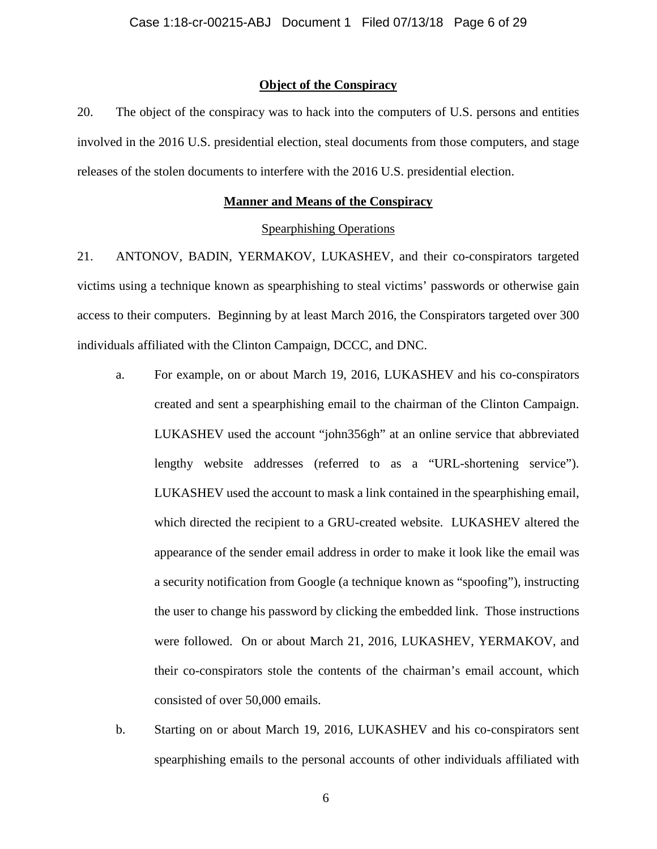## **Object of the Conspiracy**

20. The object of the conspiracy was to hack into the computers of U.S. persons and entities involved in the 2016 U.S. presidential election, steal documents from those computers, and stage releases of the stolen documents to interfere with the 2016 U.S. presidential election.

# **Manner and Means of the Conspiracy**

## Spearphishing Operations

<span id="page-5-0"></span>21. ANTONOV, BADIN, YERMAKOV, LUKASHEV, and their co-conspirators targeted victims using a technique known as spearphishing to steal victims' passwords or otherwise gain access to their computers. Beginning by at least March 2016, the Conspirators targeted over 300 individuals affiliated with the Clinton Campaign, DCCC, and DNC.

- a. For example, on or about March 19, 2016, LUKASHEV and his co-conspirators created and sent a spearphishing email to the chairman of the Clinton Campaign. LUKASHEV used the account "john356gh" at an online service that abbreviated lengthy website addresses (referred to as a "URL-shortening service"). LUKASHEV used the account to mask a link contained in the spearphishing email, which directed the recipient to a GRU-created website. LUKASHEV altered the appearance of the sender email address in order to make it look like the email was a security notification from Google (a technique known as "spoofing"), instructing the user to change his password by clicking the embedded link. Those instructions were followed. On or about March 21, 2016, LUKASHEV, YERMAKOV, and their co-conspirators stole the contents of the chairman's email account, which consisted of over 50,000 emails.
- b. Starting on or about March 19, 2016, LUKASHEV and his co-conspirators sent spearphishing emails to the personal accounts of other individuals affiliated with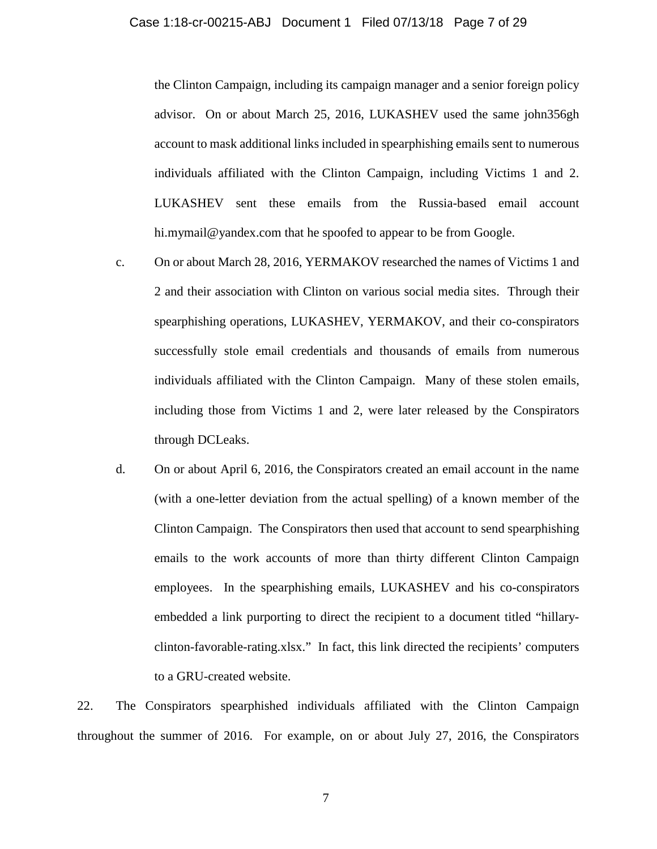#### Case 1:18-cr-00215-ABJ Document 1 Filed 07/13/18 Page 7 of 29

the Clinton Campaign, including its campaign manager and a senior foreign policy advisor. On or about March 25, 2016, LUKASHEV used the same john356gh account to mask additional links included in spearphishing emails sent to numerous individuals affiliated with the Clinton Campaign, including Victims 1 and 2. LUKASHEV sent these emails from the Russia-based email account hi.mymail@yandex.com that he spoofed to appear to be from Google.

- c. On or about March 28, 2016, YERMAKOV researched the names of Victims 1 and 2 and their association with Clinton on various social media sites. Through their spearphishing operations, LUKASHEV, YERMAKOV, and their co-conspirators successfully stole email credentials and thousands of emails from numerous individuals affiliated with the Clinton Campaign. Many of these stolen emails, including those from Victims 1 and 2, were later released by the Conspirators through DCLeaks.
- d. On or about April 6, 2016, the Conspirators created an email account in the name (with a one-letter deviation from the actual spelling) of a known member of the Clinton Campaign. The Conspirators then used that account to send spearphishing emails to the work accounts of more than thirty different Clinton Campaign employees. In the spearphishing emails, LUKASHEV and his co-conspirators embedded a link purporting to direct the recipient to a document titled "hillaryclinton-favorable-rating.xlsx." In fact, this link directed the recipients' computers to a GRU-created website.

22. The Conspirators spearphished individuals affiliated with the Clinton Campaign throughout the summer of 2016. For example, on or about July 27, 2016, the Conspirators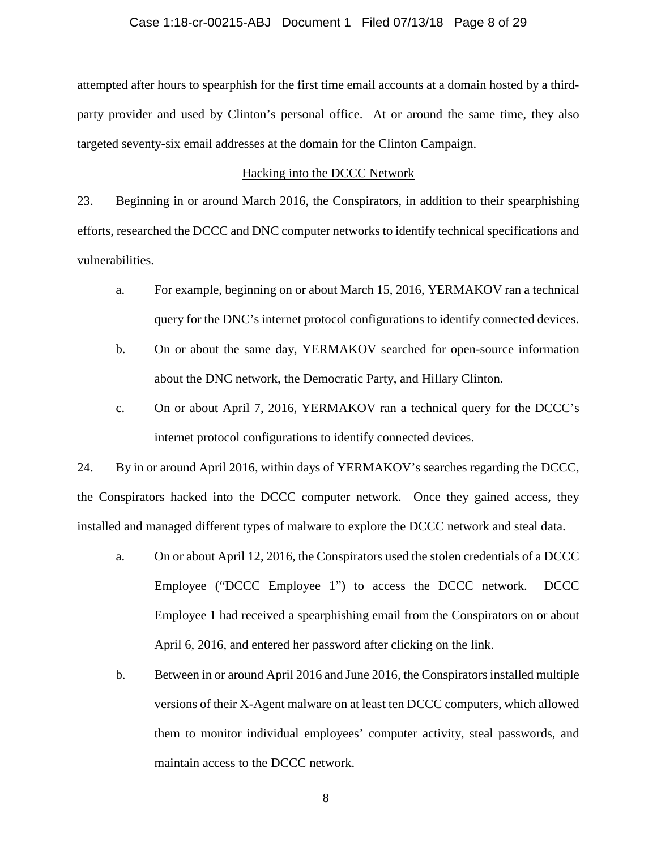## Case 1:18-cr-00215-ABJ Document 1 Filed 07/13/18 Page 8 of 29

attempted after hours to spearphish for the first time email accounts at a domain hosted by a thirdparty provider and used by Clinton's personal office. At or around the same time, they also targeted seventy-six email addresses at the domain for the Clinton Campaign.

## Hacking into the DCCC Network

23. Beginning in or around March 2016, the Conspirators, in addition to their spearphishing efforts, researched the DCCC and DNC computer networks to identify technical specifications and vulnerabilities.

- a. For example, beginning on or about March 15, 2016, YERMAKOV ran a technical query for the DNC's internet protocol configurations to identify connected devices.
- b. On or about the same day, YERMAKOV searched for open-source information about the DNC network, the Democratic Party, and Hillary Clinton.
- c. On or about April 7, 2016, YERMAKOV ran a technical query for the DCCC's internet protocol configurations to identify connected devices.

24. By in or around April 2016, within days of YERMAKOV's searches regarding the DCCC, the Conspirators hacked into the DCCC computer network. Once they gained access, they installed and managed different types of malware to explore the DCCC network and steal data.

- a. On or about April 12, 2016, the Conspirators used the stolen credentials of a DCCC Employee ("DCCC Employee 1") to access the DCCC network. DCCC Employee 1 had received a spearphishing email from the Conspirators on or about April 6, 2016, and entered her password after clicking on the link.
- b. Between in or around April 2016 and June 2016, the Conspirators installed multiple versions of their X-Agent malware on at least ten DCCC computers, which allowed them to monitor individual employees' computer activity, steal passwords, and maintain access to the DCCC network.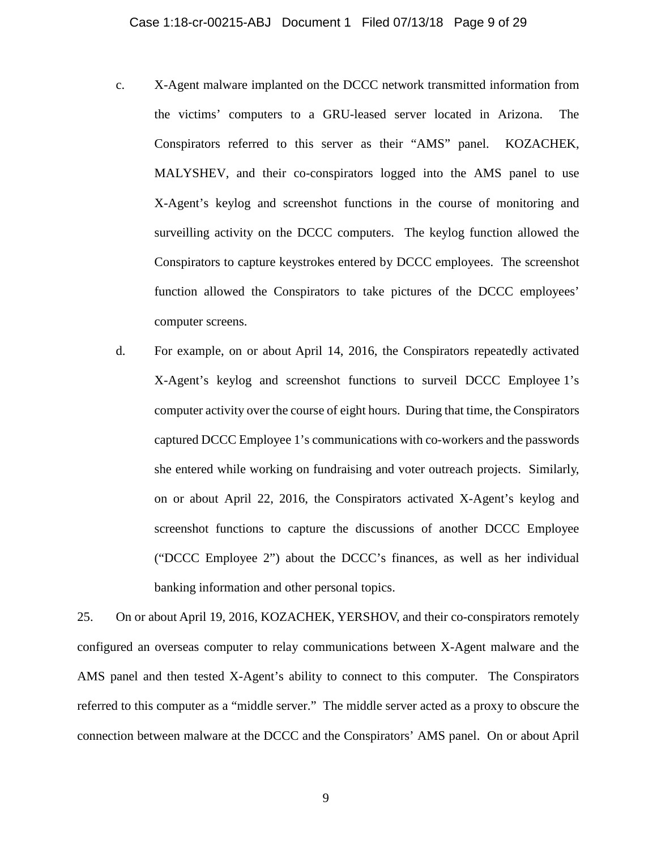- c. X-Agent malware implanted on the DCCC network transmitted information from the victims' computers to a GRU-leased server located in Arizona. The Conspirators referred to this server as their "AMS" panel. KOZACHEK, MALYSHEV, and their co-conspirators logged into the AMS panel to use X-Agent's keylog and screenshot functions in the course of monitoring and surveilling activity on the DCCC computers. The keylog function allowed the Conspirators to capture keystrokes entered by DCCC employees. The screenshot function allowed the Conspirators to take pictures of the DCCC employees' computer screens.
- d. For example, on or about April 14, 2016, the Conspirators repeatedly activated X-Agent's keylog and screenshot functions to surveil DCCC Employee 1's computer activity over the course of eight hours. During that time, the Conspirators captured DCCC Employee 1's communications with co-workers and the passwords she entered while working on fundraising and voter outreach projects. Similarly, on or about April 22, 2016, the Conspirators activated X-Agent's keylog and screenshot functions to capture the discussions of another DCCC Employee ("DCCC Employee 2") about the DCCC's finances, as well as her individual banking information and other personal topics.

25. On or about April 19, 2016, KOZACHEK, YERSHOV, and their co-conspirators remotely configured an overseas computer to relay communications between X-Agent malware and the AMS panel and then tested X-Agent's ability to connect to this computer. The Conspirators referred to this computer as a "middle server." The middle server acted as a proxy to obscure the connection between malware at the DCCC and the Conspirators' AMS panel. On or about April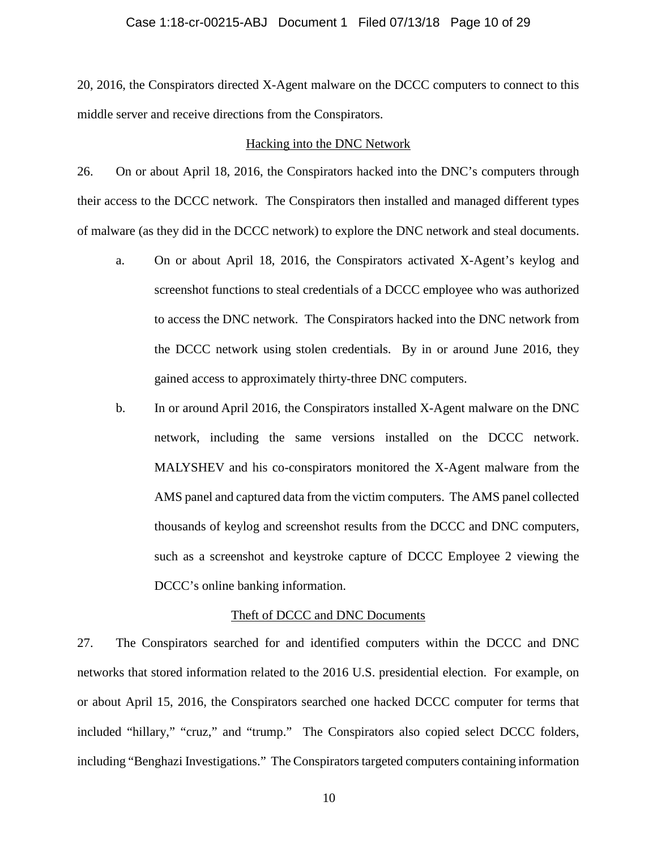## Case 1:18-cr-00215-ABJ Document 1 Filed 07/13/18 Page 10 of 29

20, 2016, the Conspirators directed X-Agent malware on the DCCC computers to connect to this middle server and receive directions from the Conspirators.

#### Hacking into the DNC Network

26. On or about April 18, 2016, the Conspirators hacked into the DNC's computers through their access to the DCCC network. The Conspirators then installed and managed different types of malware (as they did in the DCCC network) to explore the DNC network and steal documents.

- a. On or about April 18, 2016, the Conspirators activated X-Agent's keylog and screenshot functions to steal credentials of a DCCC employee who was authorized to access the DNC network. The Conspirators hacked into the DNC network from the DCCC network using stolen credentials. By in or around June 2016, they gained access to approximately thirty-three DNC computers.
- b. In or around April 2016, the Conspirators installed X-Agent malware on the DNC network, including the same versions installed on the DCCC network. MALYSHEV and his co-conspirators monitored the X-Agent malware from the AMS panel and captured data from the victim computers. The AMS panel collected thousands of keylog and screenshot results from the DCCC and DNC computers, such as a screenshot and keystroke capture of DCCC Employee 2 viewing the DCCC's online banking information.

## Theft of DCCC and DNC Documents

27. The Conspirators searched for and identified computers within the DCCC and DNC networks that stored information related to the 2016 U.S. presidential election. For example, on or about April 15, 2016, the Conspirators searched one hacked DCCC computer for terms that included "hillary," "cruz," and "trump." The Conspirators also copied select DCCC folders, including "Benghazi Investigations." The Conspirators targeted computers containing information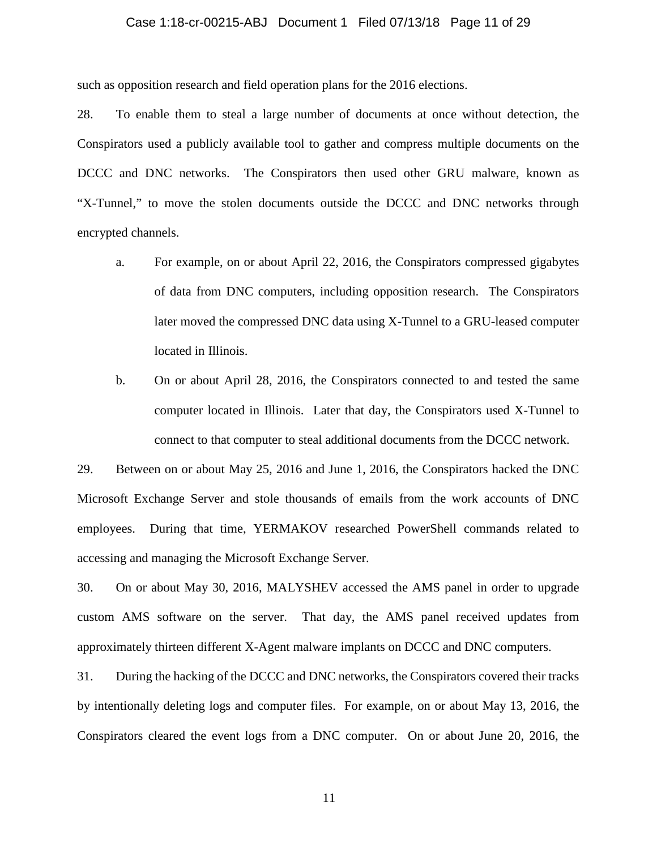# Case 1:18-cr-00215-ABJ Document 1 Filed 07/13/18 Page 11 of 29

such as opposition research and field operation plans for the 2016 elections.

28. To enable them to steal a large number of documents at once without detection, the Conspirators used a publicly available tool to gather and compress multiple documents on the DCCC and DNC networks. The Conspirators then used other GRU malware, known as "X-Tunnel," to move the stolen documents outside the DCCC and DNC networks through encrypted channels.

- a. For example, on or about April 22, 2016, the Conspirators compressed gigabytes of data from DNC computers, including opposition research. The Conspirators later moved the compressed DNC data using X-Tunnel to a GRU-leased computer located in Illinois.
- b. On or about April 28, 2016, the Conspirators connected to and tested the same computer located in Illinois. Later that day, the Conspirators used X-Tunnel to connect to that computer to steal additional documents from the DCCC network.

29. Between on or about May 25, 2016 and June 1, 2016, the Conspirators hacked the DNC Microsoft Exchange Server and stole thousands of emails from the work accounts of DNC employees. During that time, YERMAKOV researched PowerShell commands related to accessing and managing the Microsoft Exchange Server.

30. On or about May 30, 2016, MALYSHEV accessed the AMS panel in order to upgrade custom AMS software on the server. That day, the AMS panel received updates from approximately thirteen different X-Agent malware implants on DCCC and DNC computers.

31. During the hacking of the DCCC and DNC networks, the Conspirators covered their tracks by intentionally deleting logs and computer files. For example, on or about May 13, 2016, the Conspirators cleared the event logs from a DNC computer. On or about June 20, 2016, the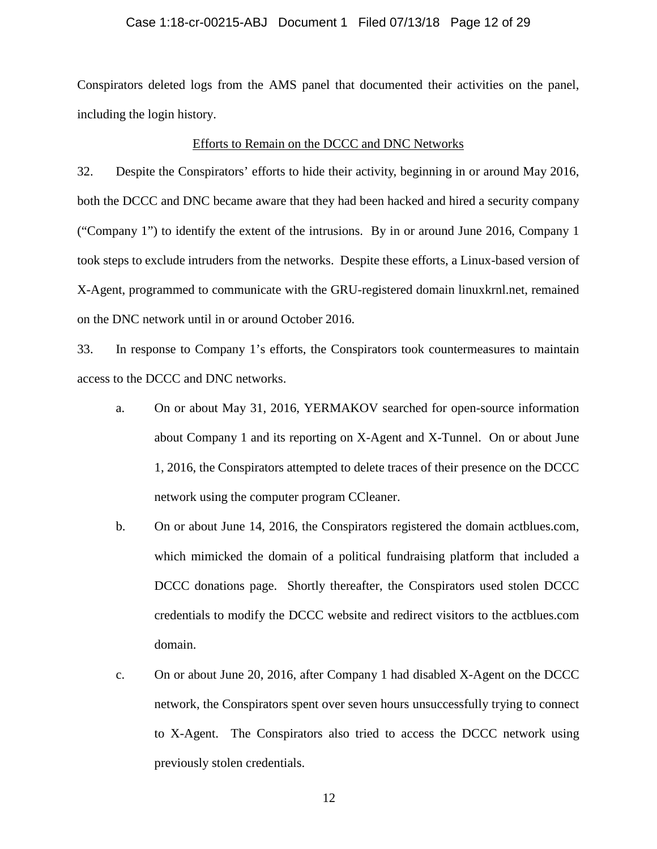# Case 1:18-cr-00215-ABJ Document 1 Filed 07/13/18 Page 12 of 29

Conspirators deleted logs from the AMS panel that documented their activities on the panel, including the login history.

## Efforts to Remain on the DCCC and DNC Networks

32. Despite the Conspirators' efforts to hide their activity, beginning in or around May 2016, both the DCCC and DNC became aware that they had been hacked and hired a security company ("Company 1") to identify the extent of the intrusions. By in or around June 2016, Company 1 took steps to exclude intruders from the networks. Despite these efforts, a Linux-based version of X-Agent, programmed to communicate with the GRU-registered domain linuxkrnl.net, remained on the DNC network until in or around October 2016.

33. In response to Company 1's efforts, the Conspirators took countermeasures to maintain access to the DCCC and DNC networks.

- a. On or about May 31, 2016, YERMAKOV searched for open-source information about Company 1 and its reporting on X-Agent and X-Tunnel. On or about June 1, 2016, the Conspirators attempted to delete traces of their presence on the DCCC network using the computer program CCleaner.
- b. On or about June 14, 2016, the Conspirators registered the domain actblues.com, which mimicked the domain of a political fundraising platform that included a DCCC donations page. Shortly thereafter, the Conspirators used stolen DCCC credentials to modify the DCCC website and redirect visitors to the actblues.com domain.
- c. On or about June 20, 2016, after Company 1 had disabled X-Agent on the DCCC network, the Conspirators spent over seven hours unsuccessfully trying to connect to X-Agent. The Conspirators also tried to access the DCCC network using previously stolen credentials.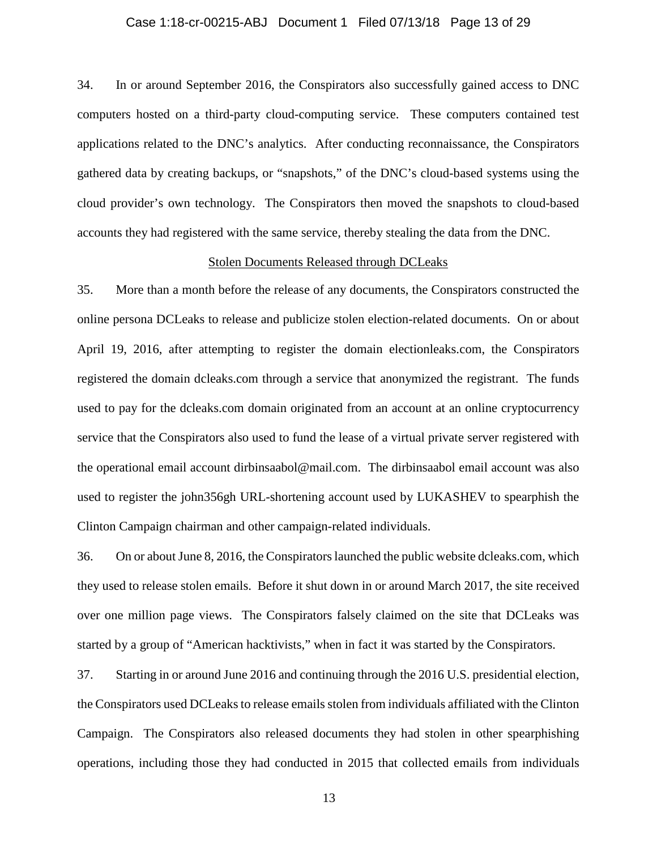## Case 1:18-cr-00215-ABJ Document 1 Filed 07/13/18 Page 13 of 29

34. In or around September 2016, the Conspirators also successfully gained access to DNC computers hosted on a third-party cloud-computing service. These computers contained test applications related to the DNC's analytics. After conducting reconnaissance, the Conspirators gathered data by creating backups, or "snapshots," of the DNC's cloud-based systems using the cloud provider's own technology. The Conspirators then moved the snapshots to cloud-based accounts they had registered with the same service, thereby stealing the data from the DNC.

# Stolen Documents Released through DCLeaks

35. More than a month before the release of any documents, the Conspirators constructed the online persona DCLeaks to release and publicize stolen election-related documents. On or about April 19, 2016, after attempting to register the domain electionleaks.com, the Conspirators registered the domain dcleaks.com through a service that anonymized the registrant. The funds used to pay for the dcleaks.com domain originated from an account at an online cryptocurrency service that the Conspirators also used to fund the lease of a virtual private server registered with the operational email account dirbinsaabol@mail.com. The dirbinsaabol email account was also used to register the john356gh URL-shortening account used by LUKASHEV to spearphish the Clinton Campaign chairman and other campaign-related individuals.

36. On or about June 8, 2016, the Conspirators launched the public website dcleaks.com, which they used to release stolen emails. Before it shut down in or around March 2017, the site received over one million page views. The Conspirators falsely claimed on the site that DCLeaks was started by a group of "American hacktivists," when in fact it was started by the Conspirators.

37. Starting in or around June 2016 and continuing through the 2016 U.S. presidential election, the Conspirators used DCLeaks to release emails stolen from individuals affiliated with the Clinton Campaign. The Conspirators also released documents they had stolen in other spearphishing operations, including those they had conducted in 2015 that collected emails from individuals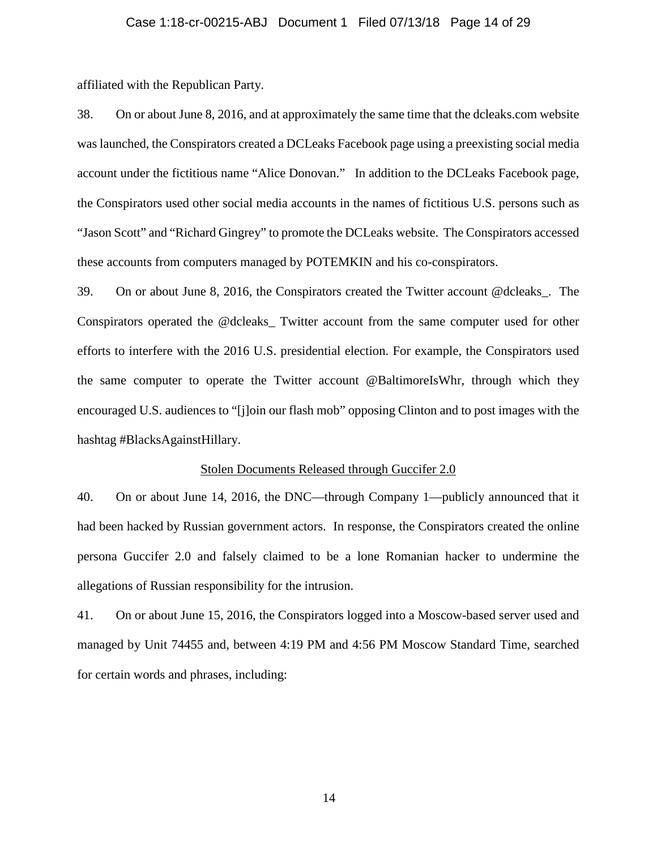# Case 1:18-cr-00215-ABJ Document 1 Filed 07/13/18 Page 14 of 29

affiliated with the Republican Party.

38. On or about June 8, 2016, and at approximately the same time that the dcleaks.com website was launched, the Conspirators created a DCLeaks Facebook page using a preexisting social media account under the fictitious name "Alice Donovan." In addition to the DCLeaks Facebook page, the Conspirators used other social media accounts in the names of fictitious U.S. persons such as "Jason Scott" and "Richard Gingrey" to promote the DCLeaks website. The Conspirators accessed these accounts from computers managed by POTEMKIN and his co-conspirators.

39. On or about June 8, 2016, the Conspirators created the Twitter account @dcleaks\_. The Conspirators operated the @dcleaks\_ Twitter account from the same computer used for other efforts to interfere with the 2016 U.S. presidential election. For example, the Conspirators used the same computer to operate the Twitter account @BaltimoreIsWhr, through which they encouraged U.S. audiences to "[j]oin our flash mob" opposing Clinton and to post images with the hashtag #BlacksAgainstHillary.

#### Stolen Documents Released through Guccifer 2.0

40. On or about June 14, 2016, the DNC—through Company 1—publicly announced that it had been hacked by Russian government actors. In response, the Conspirators created the online persona Guccifer 2.0 and falsely claimed to be a lone Romanian hacker to undermine the allegations of Russian responsibility for the intrusion.

41. On or about June 15, 2016, the Conspirators logged into a Moscow-based server used and managed by Unit 74455 and, between 4:19 PM and 4:56 PM Moscow Standard Time, searched for certain words and phrases, including: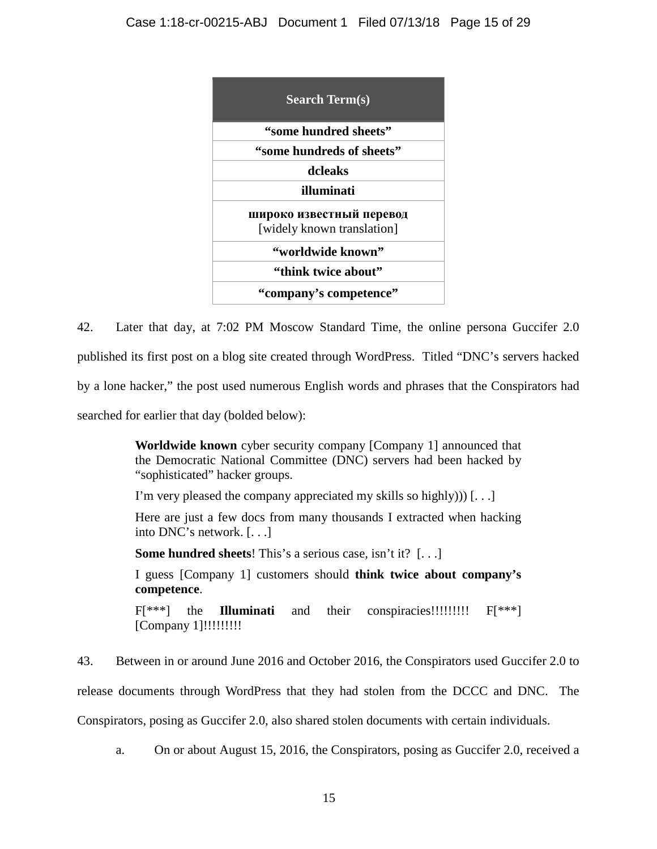

42. Later that day, at 7:02 PM Moscow Standard Time, the online persona Guccifer 2.0 published its first post on a blog site created through WordPress. Titled "DNC's servers hacked by a lone hacker," the post used numerous English words and phrases that the Conspirators had searched for earlier that day (bolded below):

> **Worldwide known** cyber security company [Company 1] announced that the Democratic National Committee (DNC) servers had been hacked by "sophisticated" hacker groups.

I'm very pleased the company appreciated my skills so highly))) [. . .]

Here are just a few docs from many thousands I extracted when hacking into DNC's network. [. . .]

**Some hundred sheets**! This's a serious case, isn't it? [. . .]

I guess [Company 1] customers should **think twice about company's competence**.

F[\*\*\*] the **Illuminati** and their conspiracies!!!!!!!!! F[\*\*\*] [Company 1]!!!!!!!!!

43. Between in or around June 2016 and October 2016, the Conspirators used Guccifer 2.0 to

release documents through WordPress that they had stolen from the DCCC and DNC. The

Conspirators, posing as Guccifer 2.0, also shared stolen documents with certain individuals.

a. On or about August 15, 2016, the Conspirators, posing as Guccifer 2.0, received a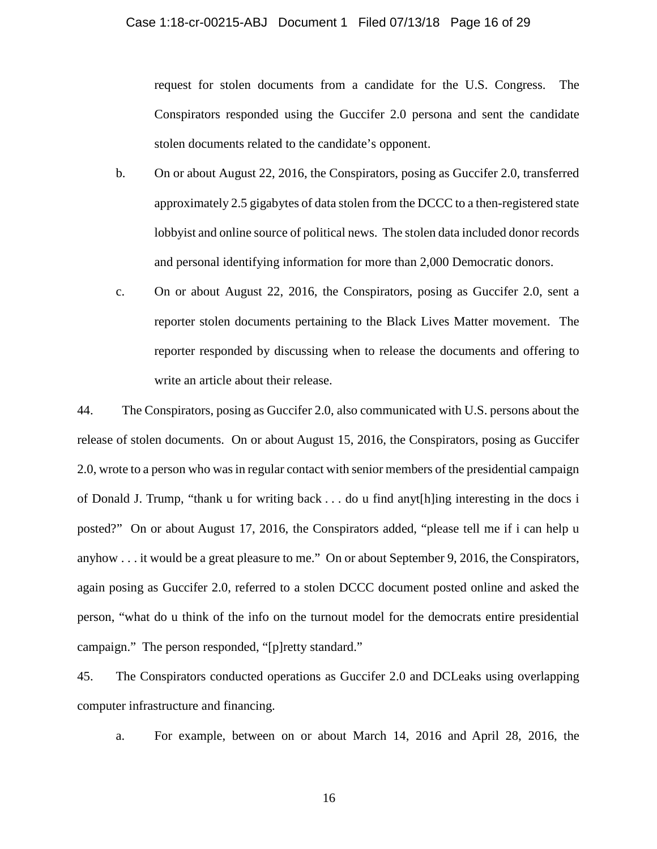#### Case 1:18-cr-00215-ABJ Document 1 Filed 07/13/18 Page 16 of 29

request for stolen documents from a candidate for the U.S. Congress. The Conspirators responded using the Guccifer 2.0 persona and sent the candidate stolen documents related to the candidate's opponent.

- b. On or about August 22, 2016, the Conspirators, posing as Guccifer 2.0, transferred approximately 2.5 gigabytes of data stolen from the DCCC to a then-registered state lobbyist and online source of political news. The stolen data included donor records and personal identifying information for more than 2,000 Democratic donors.
- c. On or about August 22, 2016, the Conspirators, posing as Guccifer 2.0, sent a reporter stolen documents pertaining to the Black Lives Matter movement. The reporter responded by discussing when to release the documents and offering to write an article about their release.

44. The Conspirators, posing as Guccifer 2.0, also communicated with U.S. persons about the release of stolen documents. On or about August 15, 2016, the Conspirators, posing as Guccifer 2.0, wrote to a person who was in regular contact with senior members of the presidential campaign of Donald J. Trump, "thank u for writing back . . . do u find anyt[h]ing interesting in the docs i posted?" On or about August 17, 2016, the Conspirators added, "please tell me if i can help u anyhow . . . it would be a great pleasure to me." On or about September 9, 2016, the Conspirators, again posing as Guccifer 2.0, referred to a stolen DCCC document posted online and asked the person, "what do u think of the info on the turnout model for the democrats entire presidential campaign." The person responded, "[p]retty standard."

45. The Conspirators conducted operations as Guccifer 2.0 and DCLeaks using overlapping computer infrastructure and financing.

a. For example, between on or about March 14, 2016 and April 28, 2016, the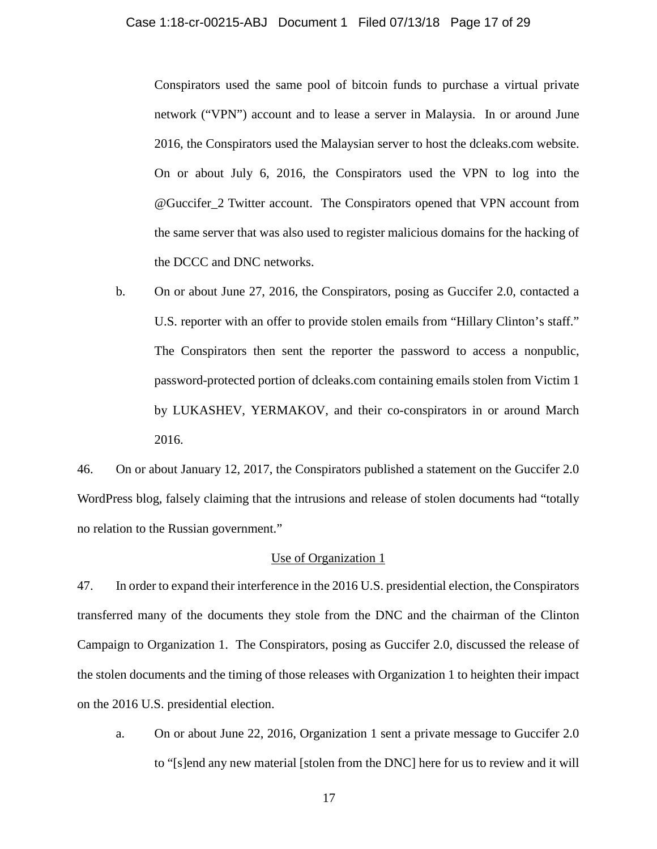Conspirators used the same pool of bitcoin funds to purchase a virtual private network ("VPN") account and to lease a server in Malaysia. In or around June 2016, the Conspirators used the Malaysian server to host the dcleaks.com website. On or about July 6, 2016, the Conspirators used the VPN to log into the @Guccifer\_2 Twitter account. The Conspirators opened that VPN account from the same server that was also used to register malicious domains for the hacking of the DCCC and DNC networks.

b. On or about June 27, 2016, the Conspirators, posing as Guccifer 2.0, contacted a U.S. reporter with an offer to provide stolen emails from "Hillary Clinton's staff." The Conspirators then sent the reporter the password to access a nonpublic, password-protected portion of dcleaks.com containing emails stolen from Victim 1 by LUKASHEV, YERMAKOV, and their co-conspirators in or around March 2016.

46. On or about January 12, 2017, the Conspirators published a statement on the Guccifer 2.0 WordPress blog, falsely claiming that the intrusions and release of stolen documents had "totally no relation to the Russian government."

## Use of Organization 1

47. In order to expand their interference in the 2016 U.S. presidential election, the Conspirators transferred many of the documents they stole from the DNC and the chairman of the Clinton Campaign to Organization 1. The Conspirators, posing as Guccifer 2.0, discussed the release of the stolen documents and the timing of those releases with Organization 1 to heighten their impact on the 2016 U.S. presidential election.

a. On or about June 22, 2016, Organization 1 sent a private message to Guccifer 2.0 to "[s]end any new material [stolen from the DNC] here for us to review and it will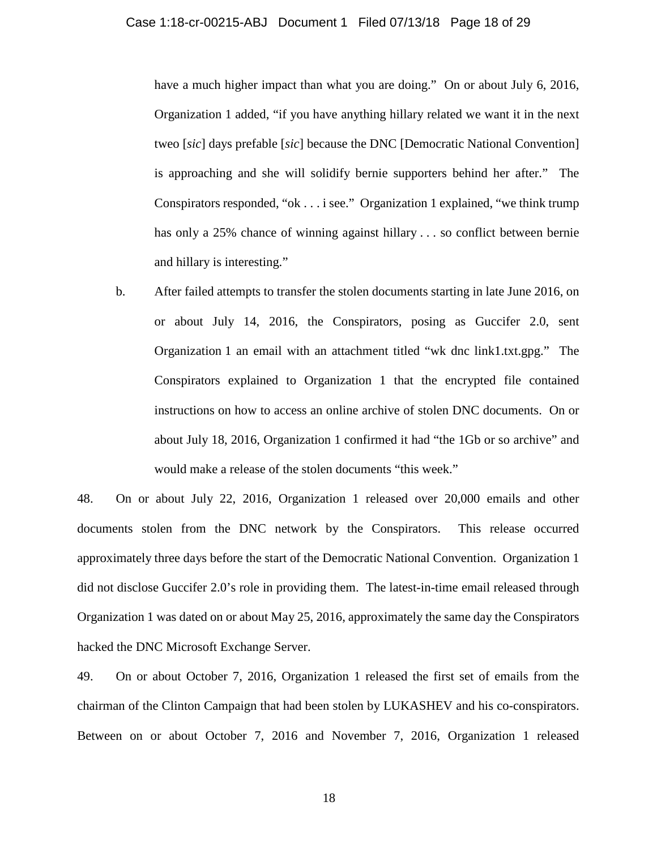## Case 1:18-cr-00215-ABJ Document 1 Filed 07/13/18 Page 18 of 29

have a much higher impact than what you are doing." On or about July 6, 2016, Organization 1 added, "if you have anything hillary related we want it in the next tweo [*sic*] days prefable [*sic*] because the DNC [Democratic National Convention] is approaching and she will solidify bernie supporters behind her after." The Conspirators responded, "ok . . . i see." Organization 1 explained, "we think trump has only a 25% chance of winning against hillary . . . so conflict between bernie and hillary is interesting."

b. After failed attempts to transfer the stolen documents starting in late June 2016, on or about July 14, 2016, the Conspirators, posing as Guccifer 2.0, sent Organization 1 an email with an attachment titled "wk dnc link1.txt.gpg." The Conspirators explained to Organization 1 that the encrypted file contained instructions on how to access an online archive of stolen DNC documents. On or about July 18, 2016, Organization 1 confirmed it had "the 1Gb or so archive" and would make a release of the stolen documents "this week."

48. On or about July 22, 2016, Organization 1 released over 20,000 emails and other documents stolen from the DNC network by the Conspirators. This release occurred approximately three days before the start of the Democratic National Convention. Organization 1 did not disclose Guccifer 2.0's role in providing them. The latest-in-time email released through Organization 1 was dated on or about May 25, 2016, approximately the same day the Conspirators hacked the DNC Microsoft Exchange Server.

<span id="page-17-0"></span>49. On or about October 7, 2016, Organization 1 released the first set of emails from the chairman of the Clinton Campaign that had been stolen by LUKASHEV and his co-conspirators. Between on or about October 7, 2016 and November 7, 2016, Organization 1 released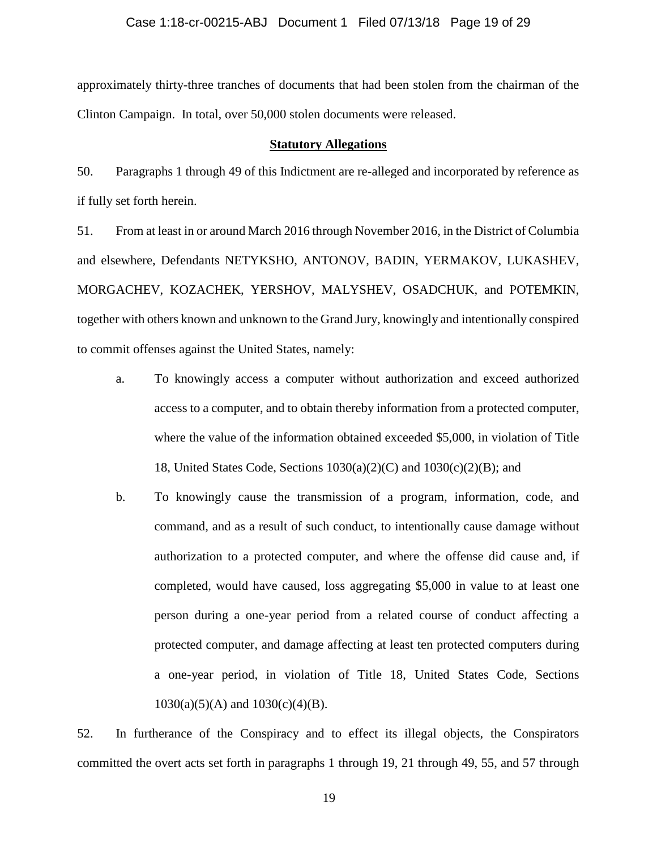approximately thirty-three tranches of documents that had been stolen from the chairman of the Clinton Campaign. In total, over 50,000 stolen documents were released.

## **Statutory Allegations**

50. Paragraphs 1 through [49](#page-17-0) of this Indictment are re-alleged and incorporated by reference as if fully set forth herein.

51. From at least in or around March 2016 through November 2016, in the District of Columbia and elsewhere, Defendants NETYKSHO, ANTONOV, BADIN, YERMAKOV, LUKASHEV, MORGACHEV, KOZACHEK, YERSHOV, MALYSHEV, OSADCHUK, and POTEMKIN, together with others known and unknown to the Grand Jury, knowingly and intentionally conspired to commit offenses against the United States, namely:

- a. To knowingly access a computer without authorization and exceed authorized access to a computer, and to obtain thereby information from a protected computer, where the value of the information obtained exceeded \$5,000, in violation of Title 18, United States Code, Sections  $1030(a)(2)(C)$  and  $1030(c)(2)(B)$ ; and
- b. To knowingly cause the transmission of a program, information, code, and command, and as a result of such conduct, to intentionally cause damage without authorization to a protected computer, and where the offense did cause and, if completed, would have caused, loss aggregating \$5,000 in value to at least one person during a one-year period from a related course of conduct affecting a protected computer, and damage affecting at least ten protected computers during a one-year period, in violation of Title 18, United States Code, Sections  $1030(a)(5)(A)$  and  $1030(c)(4)(B)$ .

52. In furtherance of the Conspiracy and to effect its illegal objects, the Conspirators committed the overt acts set forth in paragraphs [1](#page-0-0) through [19,](#page-4-0) [21](#page-5-0) through [49,](#page-17-0) [55,](#page-19-0) and [57](#page-20-0) through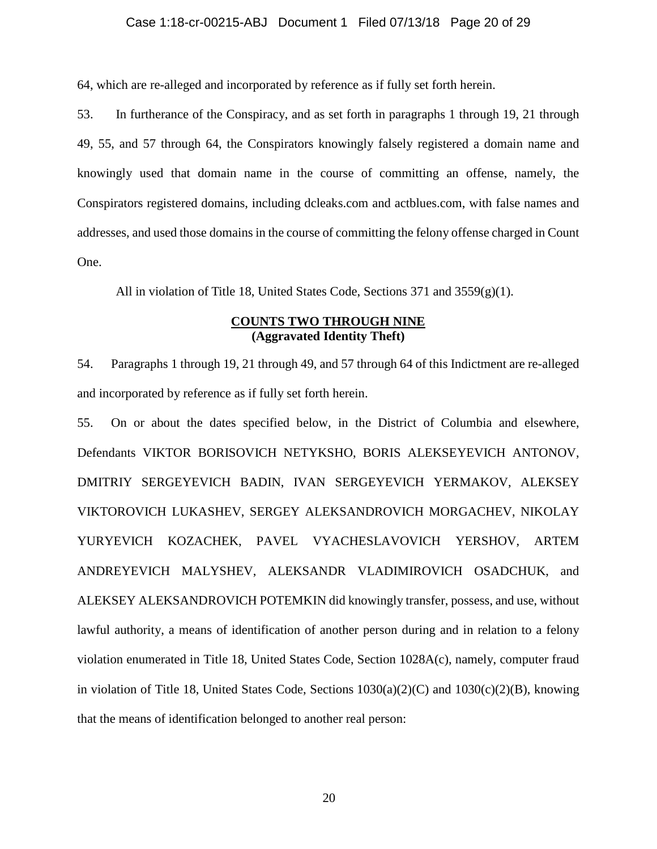## Case 1:18-cr-00215-ABJ Document 1 Filed 07/13/18 Page 20 of 29

[64,](#page-22-0) which are re-alleged and incorporated by reference as if fully set forth herein.

53. In furtherance of the Conspiracy, and as set forth in paragraphs [1](#page-0-0) through [19,](#page-4-0) [21](#page-5-0) through [49,](#page-17-0) [55,](#page-19-0) and [57](#page-20-0) through [64,](#page-22-0) the Conspirators knowingly falsely registered a domain name and knowingly used that domain name in the course of committing an offense, namely, the Conspirators registered domains, including dcleaks.com and actblues.com, with false names and addresses, and used those domains in the course of committing the felony offense charged in Count One.

All in violation of Title 18, United States Code, Sections 371 and  $3559(g)(1)$ .

# **COUNTS TWO THROUGH NINE (Aggravated Identity Theft)**

54. Paragraphs [1](#page-0-0) through [19,](#page-4-0) [21](#page-5-0) through [49,](#page-17-0) and [57](#page-20-0) through [64](#page-22-0) of this Indictment are re-alleged and incorporated by reference as if fully set forth herein.

<span id="page-19-0"></span>55. On or about the dates specified below, in the District of Columbia and elsewhere, Defendants VIKTOR BORISOVICH NETYKSHO, BORIS ALEKSEYEVICH ANTONOV, DMITRIY SERGEYEVICH BADIN, IVAN SERGEYEVICH YERMAKOV, ALEKSEY VIKTOROVICH LUKASHEV, SERGEY ALEKSANDROVICH MORGACHEV, NIKOLAY YURYEVICH KOZACHEK, PAVEL VYACHESLAVOVICH YERSHOV, ARTEM ANDREYEVICH MALYSHEV, ALEKSANDR VLADIMIROVICH OSADCHUK, and ALEKSEY ALEKSANDROVICH POTEMKIN did knowingly transfer, possess, and use, without lawful authority, a means of identification of another person during and in relation to a felony violation enumerated in Title 18, United States Code, Section 1028A(c), namely, computer fraud in violation of Title 18, United States Code, Sections 1030(a)(2)(C) and 1030(c)(2)(B), knowing that the means of identification belonged to another real person: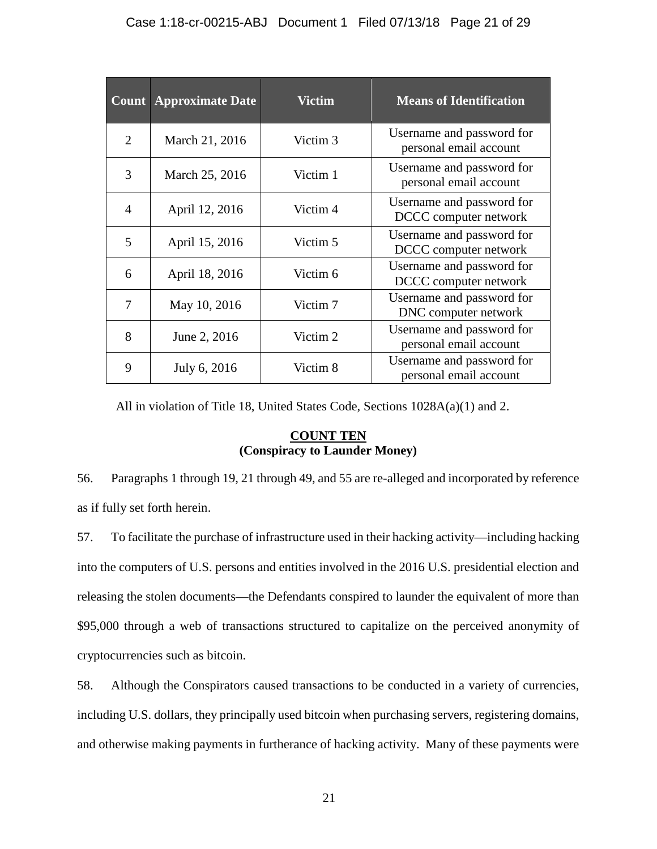|                | <b>Count Approximate Date</b> | <b>Victim</b>       | <b>Means of Identification</b>                      |
|----------------|-------------------------------|---------------------|-----------------------------------------------------|
| $\overline{2}$ | March 21, 2016                | Victim <sub>3</sub> | Username and password for<br>personal email account |
| 3              | March 25, 2016                | Victim 1            | Username and password for<br>personal email account |
| 4              | April 12, 2016                | Victim 4            | Username and password for<br>DCCC computer network  |
| 5              | April 15, 2016                | Victim 5            | Username and password for<br>DCCC computer network  |
| 6              | April 18, 2016                | Victim 6            | Username and password for<br>DCCC computer network  |
| 7              | May 10, 2016                  | Victim <sub>7</sub> | Username and password for<br>DNC computer network   |
| 8              | June 2, 2016                  | Victim 2            | Username and password for<br>personal email account |
| 9              | July 6, 2016                  | Victim 8            | Username and password for<br>personal email account |

All in violation of Title 18, United States Code, Sections 1028A(a)(1) and 2.

# **COUNT TEN (Conspiracy to Launder Money)**

56. Paragraphs [1](#page-0-0) through [19,](#page-4-0) [21](#page-5-0) through [49,](#page-17-0) and [55](#page-19-0) are re-alleged and incorporated by reference as if fully set forth herein.

<span id="page-20-0"></span>57. To facilitate the purchase of infrastructure used in their hacking activity—including hacking into the computers of U.S. persons and entities involved in the 2016 U.S. presidential election and releasing the stolen documents—the Defendants conspired to launder the equivalent of more than \$95,000 through a web of transactions structured to capitalize on the perceived anonymity of cryptocurrencies such as bitcoin.

58. Although the Conspirators caused transactions to be conducted in a variety of currencies, including U.S. dollars, they principally used bitcoin when purchasing servers, registering domains, and otherwise making payments in furtherance of hacking activity. Many of these payments were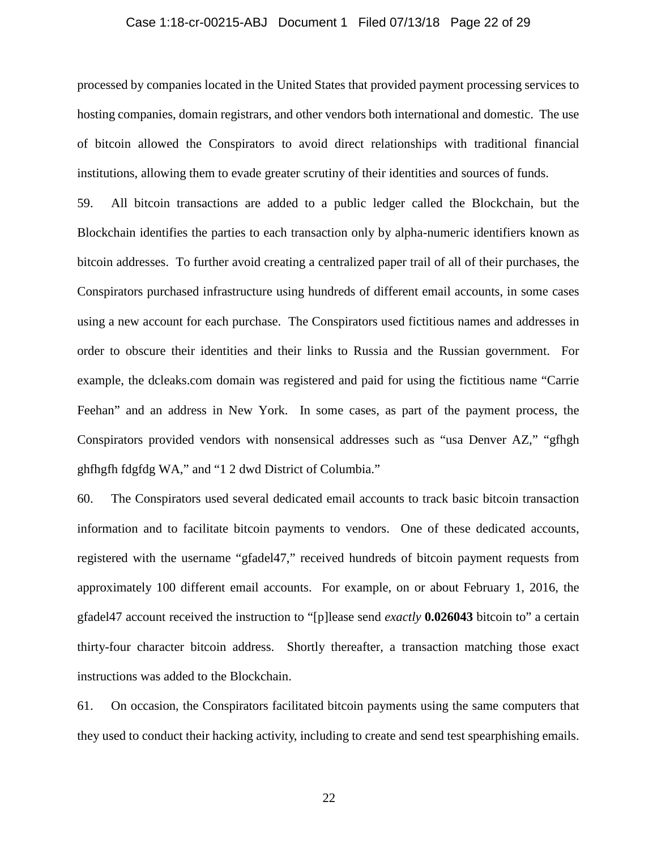## Case 1:18-cr-00215-ABJ Document 1 Filed 07/13/18 Page 22 of 29

processed by companies located in the United States that provided payment processing services to hosting companies, domain registrars, and other vendors both international and domestic. The use of bitcoin allowed the Conspirators to avoid direct relationships with traditional financial institutions, allowing them to evade greater scrutiny of their identities and sources of funds.

59. All bitcoin transactions are added to a public ledger called the Blockchain, but the Blockchain identifies the parties to each transaction only by alpha-numeric identifiers known as bitcoin addresses. To further avoid creating a centralized paper trail of all of their purchases, the Conspirators purchased infrastructure using hundreds of different email accounts, in some cases using a new account for each purchase. The Conspirators used fictitious names and addresses in order to obscure their identities and their links to Russia and the Russian government. For example, the dcleaks.com domain was registered and paid for using the fictitious name "Carrie Feehan" and an address in New York. In some cases, as part of the payment process, the Conspirators provided vendors with nonsensical addresses such as "usa Denver AZ," "gfhgh ghfhgfh fdgfdg WA," and "1 2 dwd District of Columbia."

60. The Conspirators used several dedicated email accounts to track basic bitcoin transaction information and to facilitate bitcoin payments to vendors. One of these dedicated accounts, registered with the username "gfadel47," received hundreds of bitcoin payment requests from approximately 100 different email accounts. For example, on or about February 1, 2016, the gfadel47 account received the instruction to "[p]lease send *exactly* **0.026043** bitcoin to" a certain thirty-four character bitcoin address. Shortly thereafter, a transaction matching those exact instructions was added to the Blockchain.

61. On occasion, the Conspirators facilitated bitcoin payments using the same computers that they used to conduct their hacking activity, including to create and send test spearphishing emails.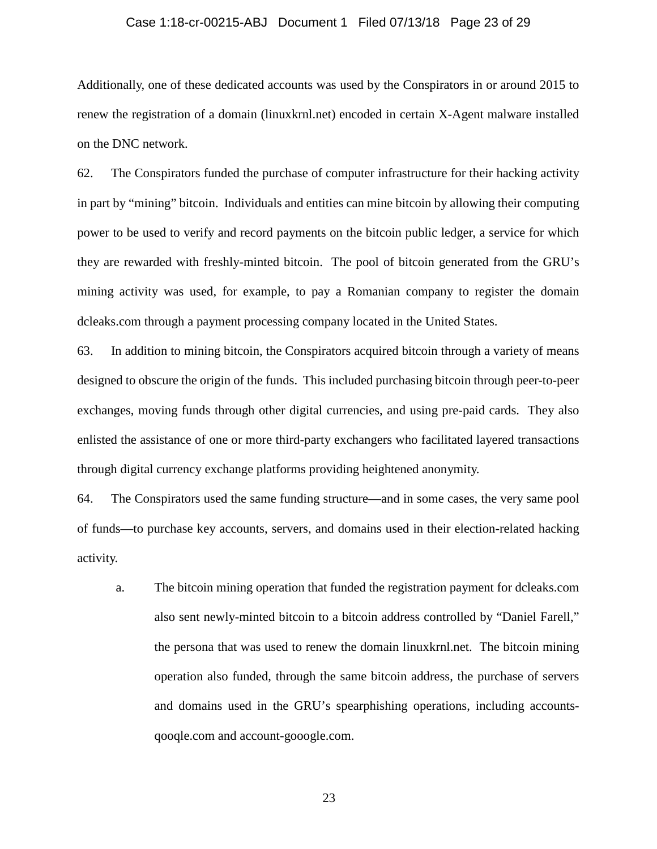# Case 1:18-cr-00215-ABJ Document 1 Filed 07/13/18 Page 23 of 29

Additionally, one of these dedicated accounts was used by the Conspirators in or around 2015 to renew the registration of a domain (linuxkrnl.net) encoded in certain X-Agent malware installed on the DNC network.

62. The Conspirators funded the purchase of computer infrastructure for their hacking activity in part by "mining" bitcoin. Individuals and entities can mine bitcoin by allowing their computing power to be used to verify and record payments on the bitcoin public ledger, a service for which they are rewarded with freshly-minted bitcoin. The pool of bitcoin generated from the GRU's mining activity was used, for example, to pay a Romanian company to register the domain dcleaks.com through a payment processing company located in the United States.

63. In addition to mining bitcoin, the Conspirators acquired bitcoin through a variety of means designed to obscure the origin of the funds. This included purchasing bitcoin through peer-to-peer exchanges, moving funds through other digital currencies, and using pre-paid cards. They also enlisted the assistance of one or more third-party exchangers who facilitated layered transactions through digital currency exchange platforms providing heightened anonymity.

<span id="page-22-0"></span>64. The Conspirators used the same funding structure—and in some cases, the very same pool of funds—to purchase key accounts, servers, and domains used in their election-related hacking activity.

a. The bitcoin mining operation that funded the registration payment for dcleaks.com also sent newly-minted bitcoin to a bitcoin address controlled by "Daniel Farell," the persona that was used to renew the domain linuxkrnl.net. The bitcoin mining operation also funded, through the same bitcoin address, the purchase of servers and domains used in the GRU's spearphishing operations, including accountsqooqle.com and account-gooogle.com.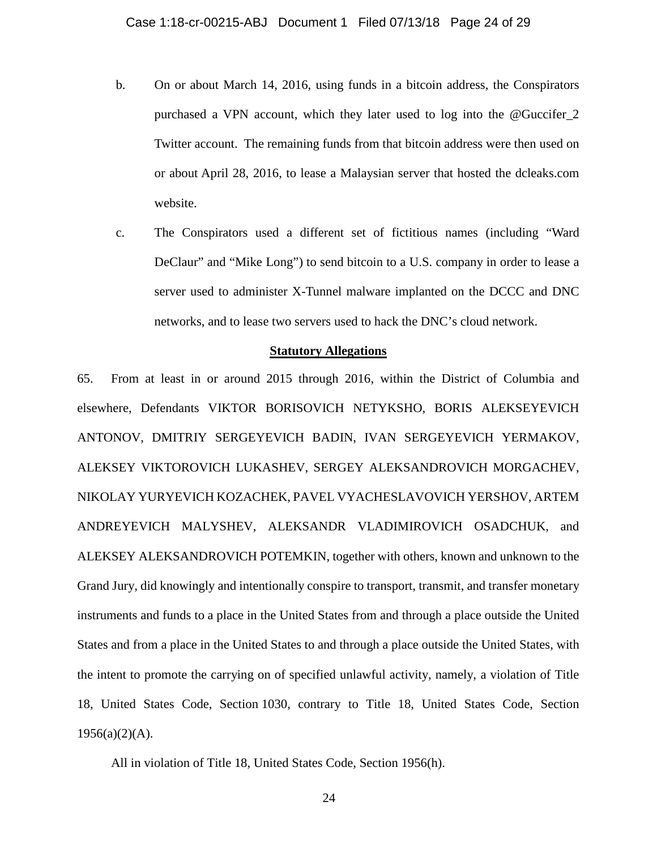- b. On or about March 14, 2016, using funds in a bitcoin address, the Conspirators purchased a VPN account, which they later used to log into the @Guccifer\_2 Twitter account. The remaining funds from that bitcoin address were then used on or about April 28, 2016, to lease a Malaysian server that hosted the dcleaks.com website.
- c. The Conspirators used a different set of fictitious names (including "Ward DeClaur" and "Mike Long") to send bitcoin to a U.S. company in order to lease a server used to administer X-Tunnel malware implanted on the DCCC and DNC networks, and to lease two servers used to hack the DNC's cloud network.

## **Statutory Allegations**

65. From at least in or around 2015 through 2016, within the District of Columbia and elsewhere, Defendants VIKTOR BORISOVICH NETYKSHO, BORIS ALEKSEYEVICH ANTONOV, DMITRIY SERGEYEVICH BADIN, IVAN SERGEYEVICH YERMAKOV, ALEKSEY VIKTOROVICH LUKASHEV, SERGEY ALEKSANDROVICH MORGACHEV, NIKOLAY YURYEVICH KOZACHEK, PAVEL VYACHESLAVOVICH YERSHOV, ARTEM ANDREYEVICH MALYSHEV, ALEKSANDR VLADIMIROVICH OSADCHUK, and ALEKSEY ALEKSANDROVICH POTEMKIN, together with others, known and unknown to the Grand Jury, did knowingly and intentionally conspire to transport, transmit, and transfer monetary instruments and funds to a place in the United States from and through a place outside the United States and from a place in the United States to and through a place outside the United States, with the intent to promote the carrying on of specified unlawful activity, namely, a violation of Title 18, United States Code, Section 1030, contrary to Title 18, United States Code, Section  $1956(a)(2)(A)$ .

All in violation of Title 18, United States Code, Section 1956(h).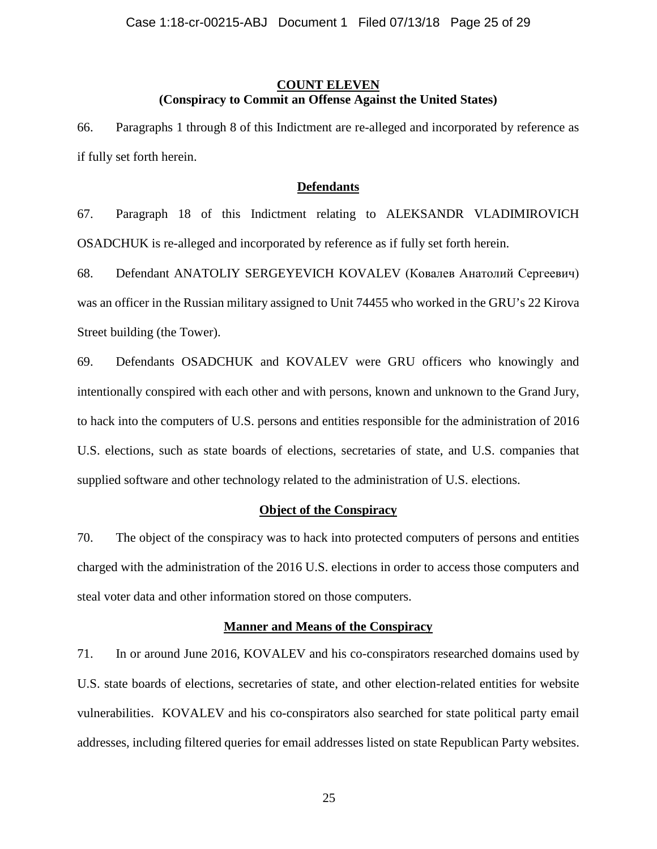# **COUNT ELEVEN (Conspiracy to Commit an Offense Against the United States)**

66. Paragraphs 1 through [8](#page-2-0) of this Indictment are re-alleged and incorporated by reference as if fully set forth herein.

#### **Defendants**

67. Paragraph [18](#page-4-1) of this Indictment relating to ALEKSANDR VLADIMIROVICH OSADCHUK is re-alleged and incorporated by reference as if fully set forth herein.

68. Defendant ANATOLIY SERGEYEVICH KOVALEV (Ковалев Анатолий Сергеевич) was an officer in the Russian military assigned to Unit 74455 who worked in the GRU's 22 Kirova Street building (the Tower).

<span id="page-24-0"></span>69. Defendants OSADCHUK and KOVALEV were GRU officers who knowingly and intentionally conspired with each other and with persons, known and unknown to the Grand Jury, to hack into the computers of U.S. persons and entities responsible for the administration of 2016 U.S. elections, such as state boards of elections, secretaries of state, and U.S. companies that supplied software and other technology related to the administration of U.S. elections.

## **Object of the Conspiracy**

70. The object of the conspiracy was to hack into protected computers of persons and entities charged with the administration of the 2016 U.S. elections in order to access those computers and steal voter data and other information stored on those computers.

## **Manner and Means of the Conspiracy**

<span id="page-24-1"></span>71. In or around June 2016, KOVALEV and his co-conspirators researched domains used by U.S. state boards of elections, secretaries of state, and other election-related entities for website vulnerabilities. KOVALEV and his co-conspirators also searched for state political party email addresses, including filtered queries for email addresses listed on state Republican Party websites.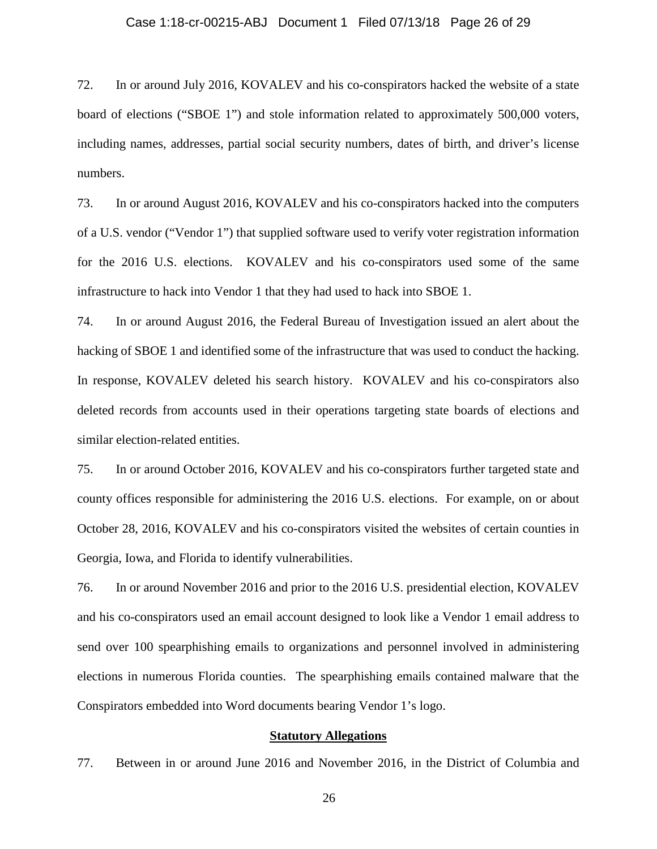# Case 1:18-cr-00215-ABJ Document 1 Filed 07/13/18 Page 26 of 29

72. In or around July 2016, KOVALEV and his co-conspirators hacked the website of a state board of elections ("SBOE 1") and stole information related to approximately 500,000 voters, including names, addresses, partial social security numbers, dates of birth, and driver's license numbers.

73. In or around August 2016, KOVALEV and his co-conspirators hacked into the computers of a U.S. vendor ("Vendor 1") that supplied software used to verify voter registration information for the 2016 U.S. elections. KOVALEV and his co-conspirators used some of the same infrastructure to hack into Vendor 1 that they had used to hack into SBOE 1.

74. In or around August 2016, the Federal Bureau of Investigation issued an alert about the hacking of SBOE 1 and identified some of the infrastructure that was used to conduct the hacking. In response, KOVALEV deleted his search history. KOVALEV and his co-conspirators also deleted records from accounts used in their operations targeting state boards of elections and similar election-related entities.

75. In or around October 2016, KOVALEV and his co-conspirators further targeted state and county offices responsible for administering the 2016 U.S. elections. For example, on or about October 28, 2016, KOVALEV and his co-conspirators visited the websites of certain counties in Georgia, Iowa, and Florida to identify vulnerabilities.

<span id="page-25-0"></span>76. In or around November 2016 and prior to the 2016 U.S. presidential election, KOVALEV and his co-conspirators used an email account designed to look like a Vendor 1 email address to send over 100 spearphishing emails to organizations and personnel involved in administering elections in numerous Florida counties. The spearphishing emails contained malware that the Conspirators embedded into Word documents bearing Vendor 1's logo.

#### **Statutory Allegations**

77. Between in or around June 2016 and November 2016, in the District of Columbia and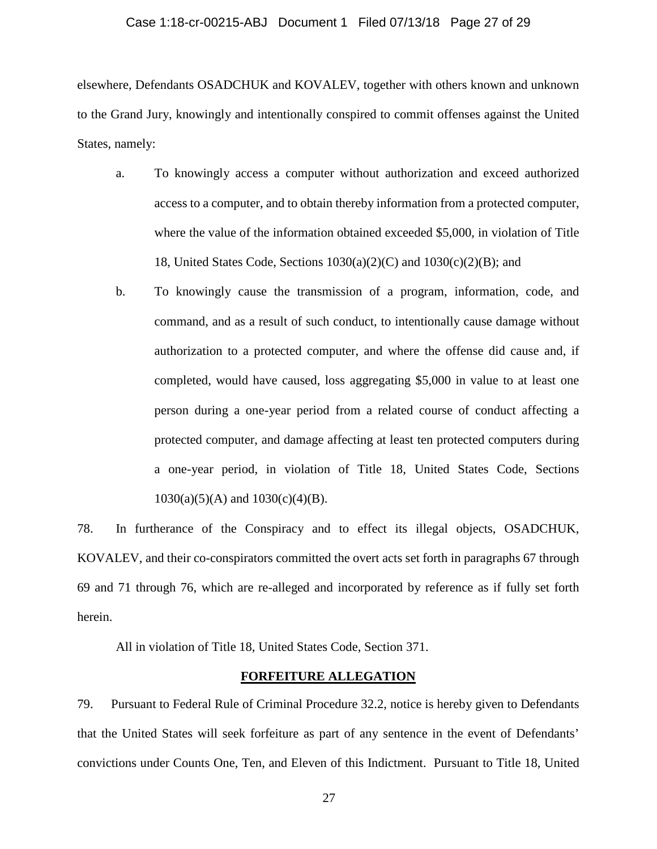# Case 1:18-cr-00215-ABJ Document 1 Filed 07/13/18 Page 27 of 29

elsewhere, Defendants OSADCHUK and KOVALEV, together with others known and unknown to the Grand Jury, knowingly and intentionally conspired to commit offenses against the United States, namely:

- a. To knowingly access a computer without authorization and exceed authorized access to a computer, and to obtain thereby information from a protected computer, where the value of the information obtained exceeded \$5,000, in violation of Title 18, United States Code, Sections  $1030(a)(2)(C)$  and  $1030(c)(2)(B)$ ; and
- b. To knowingly cause the transmission of a program, information, code, and command, and as a result of such conduct, to intentionally cause damage without authorization to a protected computer, and where the offense did cause and, if completed, would have caused, loss aggregating \$5,000 in value to at least one person during a one-year period from a related course of conduct affecting a protected computer, and damage affecting at least ten protected computers during a one-year period, in violation of Title 18, United States Code, Sections  $1030(a)(5)(A)$  and  $1030(c)(4)(B)$ .

78. In furtherance of the Conspiracy and to effect its illegal objects, OSADCHUK, KOVALEV, and their co-conspirators committed the overt acts set forth in paragraphs 67 through [69](#page-24-0) and [71](#page-24-1) through [76,](#page-25-0) which are re-alleged and incorporated by reference as if fully set forth herein.

All in violation of Title 18, United States Code, Section 371.

## **FORFEITURE ALLEGATION**

79. Pursuant to Federal Rule of Criminal Procedure 32.2, notice is hereby given to Defendants that the United States will seek forfeiture as part of any sentence in the event of Defendants' convictions under Counts One, Ten, and Eleven of this Indictment. Pursuant to Title 18, United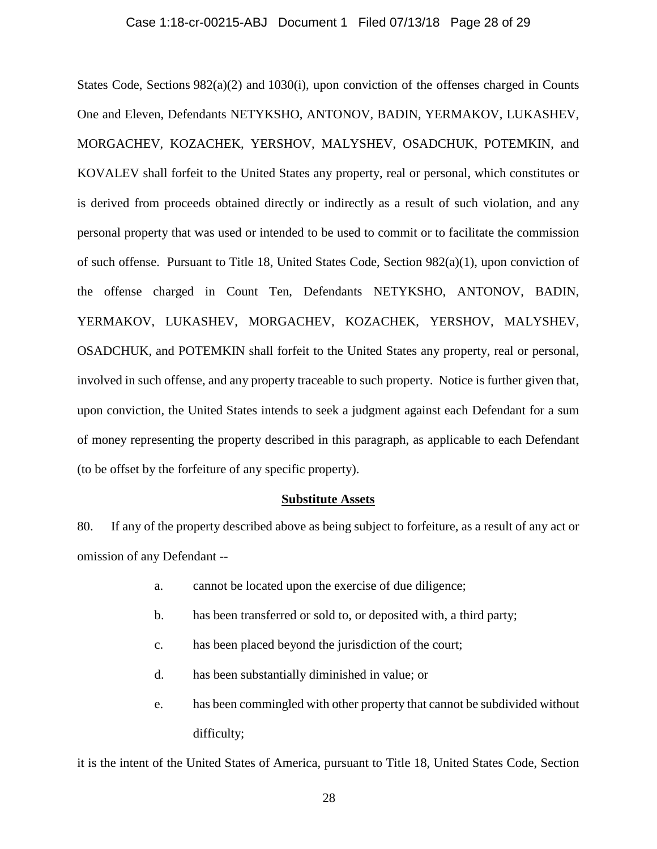# Case 1:18-cr-00215-ABJ Document 1 Filed 07/13/18 Page 28 of 29

States Code, Sections 982(a)(2) and 1030(i), upon conviction of the offenses charged in Counts One and Eleven, Defendants NETYKSHO, ANTONOV, BADIN, YERMAKOV, LUKASHEV, MORGACHEV, KOZACHEK, YERSHOV, MALYSHEV, OSADCHUK, POTEMKIN, and KOVALEV shall forfeit to the United States any property, real or personal, which constitutes or is derived from proceeds obtained directly or indirectly as a result of such violation, and any personal property that was used or intended to be used to commit or to facilitate the commission of such offense. Pursuant to Title 18, United States Code, Section 982(a)(1), upon conviction of the offense charged in Count Ten, Defendants NETYKSHO, ANTONOV, BADIN, YERMAKOV, LUKASHEV, MORGACHEV, KOZACHEK, YERSHOV, MALYSHEV, OSADCHUK, and POTEMKIN shall forfeit to the United States any property, real or personal, involved in such offense, and any property traceable to such property. Notice is further given that, upon conviction, the United States intends to seek a judgment against each Defendant for a sum of money representing the property described in this paragraph, as applicable to each Defendant (to be offset by the forfeiture of any specific property).

## **Substitute Assets**

80. If any of the property described above as being subject to forfeiture, as a result of any act or omission of any Defendant --

- a. cannot be located upon the exercise of due diligence;
- b. has been transferred or sold to, or deposited with, a third party;
- c. has been placed beyond the jurisdiction of the court;
- d. has been substantially diminished in value; or
- e. has been commingled with other property that cannot be subdivided without difficulty;

it is the intent of the United States of America, pursuant to Title 18, United States Code, Section